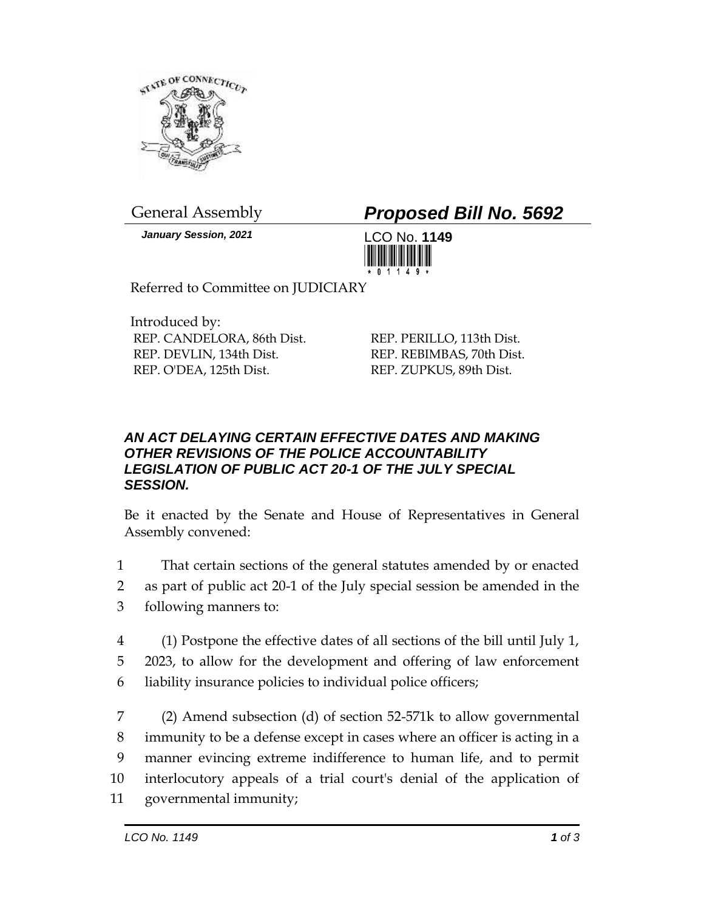

*January Session, 2021* LCO No. **1149**

## General Assembly *Proposed Bill No. 5692*



Referred to Committee on JUDICIARY

Introduced by: REP. CANDELORA, 86th Dist. REP. DEVLIN, 134th Dist. REP. O'DEA, 125th Dist.

REP. PERILLO, 113th Dist. REP. REBIMBAS, 70th Dist. REP. ZUPKUS, 89th Dist.

## *AN ACT DELAYING CERTAIN EFFECTIVE DATES AND MAKING OTHER REVISIONS OF THE POLICE ACCOUNTABILITY LEGISLATION OF PUBLIC ACT 20-1 OF THE JULY SPECIAL SESSION.*

Be it enacted by the Senate and House of Representatives in General Assembly convened:

- 1 That certain sections of the general statutes amended by or enacted
- 2 as part of public act 20-1 of the July special session be amended in the
- 3 following manners to:
- 4 (1) Postpone the effective dates of all sections of the bill until July 1, 5 2023, to allow for the development and offering of law enforcement 6 liability insurance policies to individual police officers;

 (2) Amend subsection (d) of section 52-571k to allow governmental immunity to be a defense except in cases where an officer is acting in a manner evincing extreme indifference to human life, and to permit interlocutory appeals of a trial court's denial of the application of governmental immunity;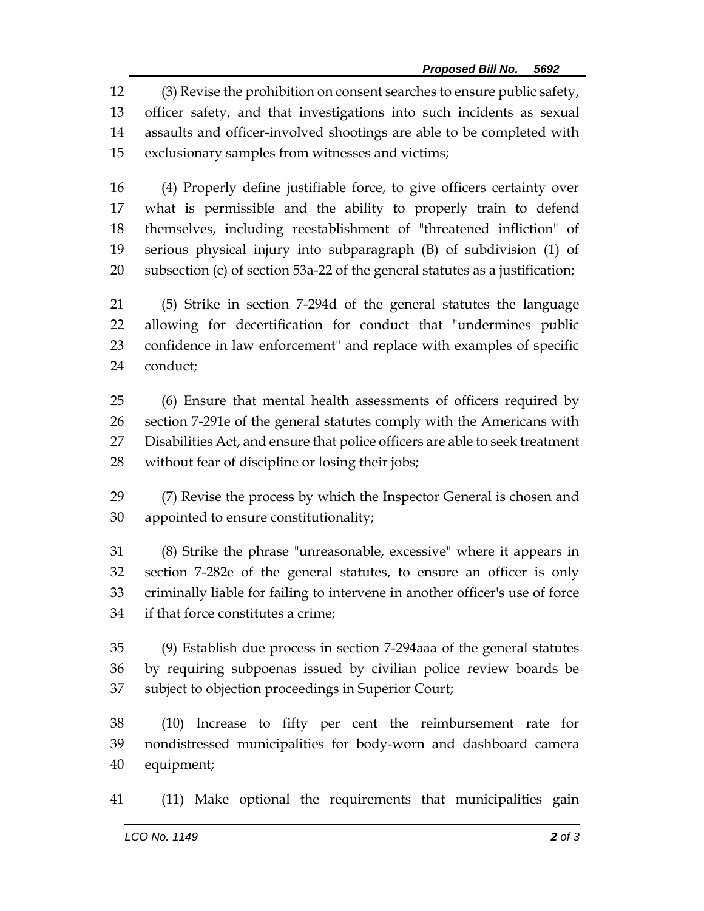(3) Revise the prohibition on consent searches to ensure public safety, officer safety, and that investigations into such incidents as sexual assaults and officer-involved shootings are able to be completed with exclusionary samples from witnesses and victims;

 (4) Properly define justifiable force, to give officers certainty over what is permissible and the ability to properly train to defend themselves, including reestablishment of "threatened infliction" of serious physical injury into subparagraph (B) of subdivision (1) of subsection (c) of section 53a-22 of the general statutes as a justification;

 (5) Strike in section 7-294d of the general statutes the language allowing for decertification for conduct that "undermines public confidence in law enforcement" and replace with examples of specific conduct;

 (6) Ensure that mental health assessments of officers required by section 7-291e of the general statutes comply with the Americans with Disabilities Act, and ensure that police officers are able to seek treatment without fear of discipline or losing their jobs;

 (7) Revise the process by which the Inspector General is chosen and appointed to ensure constitutionality;

 (8) Strike the phrase "unreasonable, excessive" where it appears in section 7-282e of the general statutes, to ensure an officer is only criminally liable for failing to intervene in another officer's use of force if that force constitutes a crime;

 (9) Establish due process in section 7-294aaa of the general statutes by requiring subpoenas issued by civilian police review boards be subject to objection proceedings in Superior Court;

 (10) Increase to fifty per cent the reimbursement rate for nondistressed municipalities for body-worn and dashboard camera equipment;

(11) Make optional the requirements that municipalities gain